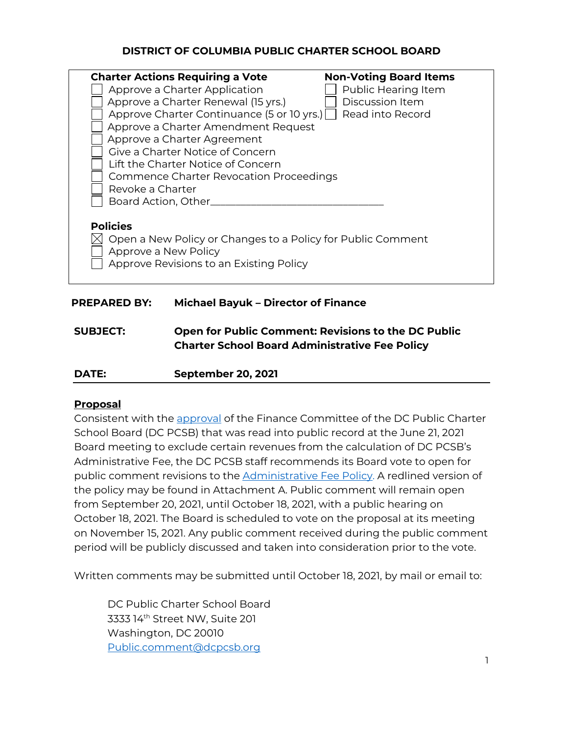## **DISTRICT OF COLUMBIA PUBLIC CHARTER SCHOOL BOARD**

| <b>Charter Actions Requiring a Vote</b><br>Approve a Charter Application<br>Approve a Charter Renewal (15 yrs.)<br>Approve Charter Continuance (5 or 10 yrs.)  <br>Approve a Charter Amendment Request<br>Approve a Charter Agreement<br>Give a Charter Notice of Concern<br>Lift the Charter Notice of Concerni<br><b>Commence Charter Revocation Proceedings</b><br>Revoke a Charter | <b>Non-Voting Board Items</b><br>Public Hearing Item<br>Discussion Item<br>Read into Record |
|----------------------------------------------------------------------------------------------------------------------------------------------------------------------------------------------------------------------------------------------------------------------------------------------------------------------------------------------------------------------------------------|---------------------------------------------------------------------------------------------|
| Board Action, Other<br><b>Policies</b><br>Open a New Policy or Changes to a Policy for Public Comment<br>Approve a New Policy<br>Approve Revisions to an Existing Policy                                                                                                                                                                                                               |                                                                                             |

### **PREPARED BY: Michael Bayuk – Director of Finance**

**SUBJECT: Open for Public Comment: Revisions to the DC Public Charter School Board Administrative Fee Policy**

### **Proposal**

Consistent with the approval of the Finance Committee of the DC Public Charter School Board (DC PCSB) that was read into public record at the June 21, 2021 Board meeting to exclude certain revenues from the calculation of DC PCSB's Administrative Fee, the DC PCSB staff recommends its Board vote to open for public comment revisions to the Administrative Fee Policy. A redlined version of the policy may be found in Attachment A. Public comment will remain open from September 20, 2021, until October 18, 2021, with a public hearing on October 18, 2021. The Board is scheduled to vote on the proposal at its meeting on November 15, 2021. Any public comment received during the public comment period will be publicly discussed and taken into consideration prior to the vote.

Written comments may be submitted until October 18, 2021, by mail or email to:

DC Public Charter School Board 3333 14th Street NW, Suite 201 Washington, DC 20010 Public.comment@dcpcsb.org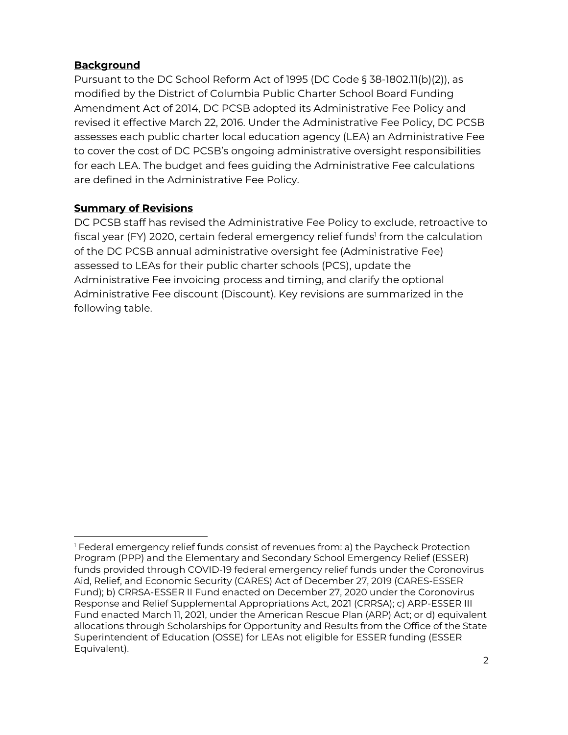## **Background**

Pursuant to the DC School Reform Act of 1995 (DC Code § 38-1802.11(b)(2)), as modified by the District of Columbia Public Charter School Board Funding Amendment Act of 2014, DC PCSB adopted its Administrative Fee Policy and revised it effective March 22, 2016. Under the Administrative Fee Policy, DC PCSB assesses each public charter local education agency (LEA) an Administrative Fee to cover the cost of DC PCSB's ongoing administrative oversight responsibilities for each LEA. The budget and fees guiding the Administrative Fee calculations are defined in the Administrative Fee Policy.

# **Summary of Revisions**

DC PCSB staff has revised the Administrative Fee Policy to exclude, retroactive to fiscal year (FY) 2020, certain federal emergency relief funds<sup>1</sup> from the calculation of the DC PCSB annual administrative oversight fee (Administrative Fee) assessed to LEAs for their public charter schools (PCS), update the Administrative Fee invoicing process and timing, and clarify the optional Administrative Fee discount (Discount). Key revisions are summarized in the following table.

<sup>1</sup> Federal emergency relief funds consist of revenues from: a) the Paycheck Protection Program (PPP) and the Elementary and Secondary School Emergency Relief (ESSER) funds provided through COVID-19 federal emergency relief funds under the Coronovirus Aid, Relief, and Economic Security (CARES) Act of December 27, 2019 (CARES-ESSER Fund); b) CRRSA-ESSER II Fund enacted on December 27, 2020 under the Coronovirus Response and Relief Supplemental Appropriations Act, 2021 (CRRSA); c) ARP-ESSER III Fund enacted March 11, 2021, under the American Rescue Plan (ARP) Act; or d) equivalent allocations through Scholarships for Opportunity and Results from the Office of the State Superintendent of Education (OSSE) for LEAs not eligible for ESSER funding (ESSER Equivalent).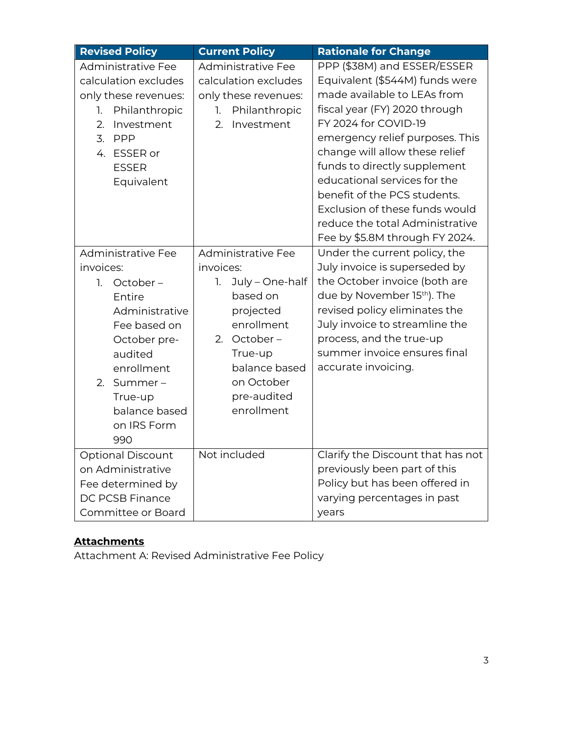| <b>Revised Policy</b>     | <b>Current Policy</b> | <b>Rationale for Change</b>       |
|---------------------------|-----------------------|-----------------------------------|
| <b>Administrative Fee</b> | Administrative Fee    | PPP (\$38M) and ESSER/ESSER       |
| calculation excludes      | calculation excludes  | Equivalent (\$544M) funds were    |
| only these revenues:      | only these revenues:  | made available to LEAs from       |
| Philanthropic<br>1.       | Philanthropic<br>1.   | fiscal year (FY) 2020 through     |
| Investment<br>2.          | Investment<br>2.      | FY 2024 for COVID-19              |
| 3. PPP                    |                       | emergency relief purposes. This   |
| 4. ESSER or               |                       | change will allow these relief    |
| <b>ESSER</b>              |                       | funds to directly supplement      |
| Equivalent                |                       | educational services for the      |
|                           |                       | benefit of the PCS students.      |
|                           |                       | Exclusion of these funds would    |
|                           |                       | reduce the total Administrative   |
|                           |                       | Fee by \$5.8M through FY 2024.    |
| <b>Administrative Fee</b> | Administrative Fee    | Under the current policy, the     |
| invoices:                 | invoices:             | July invoice is superseded by     |
| 1.<br>October-            | July - One-half<br>1. | the October invoice (both are     |
| Entire                    | based on              | due by November 15th). The        |
| Administrative            | projected             | revised policy eliminates the     |
| Fee based on              | enrollment            | July invoice to streamline the    |
| October pre-              | October-<br>2.        | process, and the true-up          |
| audited                   | True-up               | summer invoice ensures final      |
| enrollment                | balance based         | accurate invoicing.               |
| Summer-<br>2.             | on October            |                                   |
| True-up                   | pre-audited           |                                   |
| balance based             | enrollment            |                                   |
| on IRS Form               |                       |                                   |
| 990                       |                       |                                   |
| <b>Optional Discount</b>  | Not included          | Clarify the Discount that has not |
| on Administrative         |                       | previously been part of this      |
| Fee determined by         |                       | Policy but has been offered in    |
| <b>DC PCSB Finance</b>    |                       | varying percentages in past       |
| Committee or Board        |                       | years                             |

# **Attachments**

Attachment A: Revised Administrative Fee Policy